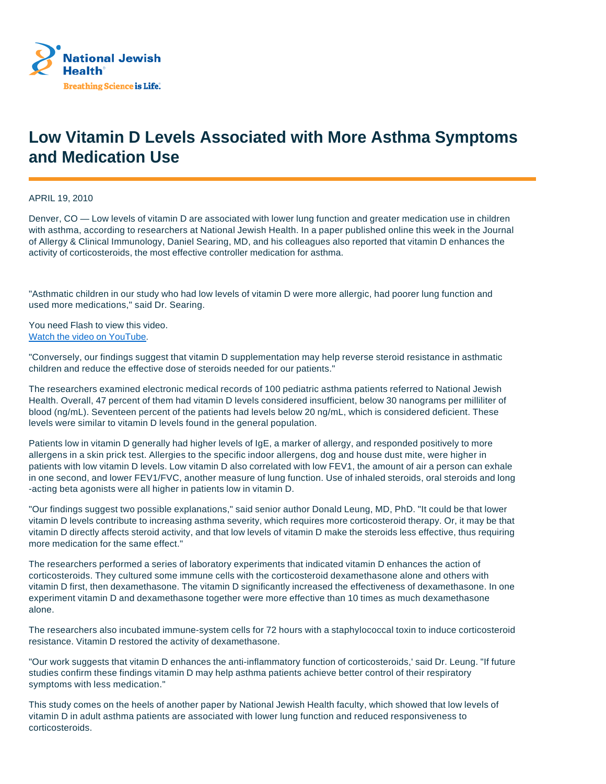

## **Low Vitamin D Levels Associated with More Asthma Symptoms and Medication Use**

APRIL 19, 2010

Denver, CO — Low levels of vitamin D are associated with lower lung function and greater medication use in children with asthma, according to researchers at National Jewish Health. In a paper published online this week in the Journal of Allergy & Clinical Immunology, Daniel Searing, MD, and his colleagues also reported that vitamin D enhances the activity of corticosteroids, the most effective controller medication for asthma.

"Asthmatic children in our study who had low levels of vitamin D were more allergic, had poorer lung function and used more medications," said Dr. Searing.

You need Flash to view this video. Watch the video on YouTube.

"Conversely, our findings suggest that vitamin D supplementation may help reverse steroid resistance in asthmatic children and reduce the effective dose of steroids needed for our patients."

The researchers examined electronic medical records of 100 pediatric asthma patients referred to National Jewish Health. Overall, 47 percent of them had vitamin D levels considered insufficient, below 30 nanograms per milliliter of blood (ng/mL). Seventeen percent of the patients had levels below 20 ng/mL, which is considered deficient. These levels were similar to vitamin D levels found in the general population.

Patients low in vitamin D generally had higher levels of IgE, a marker of allergy, and responded positively to more allergens in a skin prick test. Allergies to the specific indoor allergens, dog and house dust mite, were higher in patients with low vitamin D levels. Low vitamin D also correlated with low FEV1, the amount of air a person can exhale in one second, and lower FEV1/FVC, another measure of lung function. Use of inhaled steroids, oral steroids and long -acting beta agonists were all higher in patients low in vitamin D.

"Our findings suggest two possible explanations," said senior author Donald Leung, MD, PhD. "It could be that lower vitamin D levels contribute to increasing asthma severity, which requires more corticosteroid therapy. Or, it may be that vitamin D directly affects steroid activity, and that low levels of vitamin D make the steroids less effective, thus requiring more medication for the same effect."

The researchers performed a series of laboratory experiments that indicated vitamin D enhances the action of corticosteroids. They cultured some immune cells with the corticosteroid dexamethasone alone and others with vitamin D first, then dexamethasone. The vitamin D significantly increased the effectiveness of dexamethasone. In one experiment vitamin D and dexamethasone together were more effective than 10 times as much dexamethasone alone.

The researchers also incubated immune-system cells for 72 hours with a staphylococcal toxin to induce corticosteroid resistance. Vitamin D restored the activity of dexamethasone.

"Our work suggests that vitamin D enhances the anti-inflammatory function of corticosteroids,' said Dr. Leung. "If future studies confirm these findings vitamin D may help asthma patients achieve better control of their respiratory symptoms with less medication."

This study comes on the heels of another paper by National Jewish Health faculty, which showed that low levels of vitamin D in adult asthma patients are associated with lower lung function and reduced responsiveness to corticosteroids.